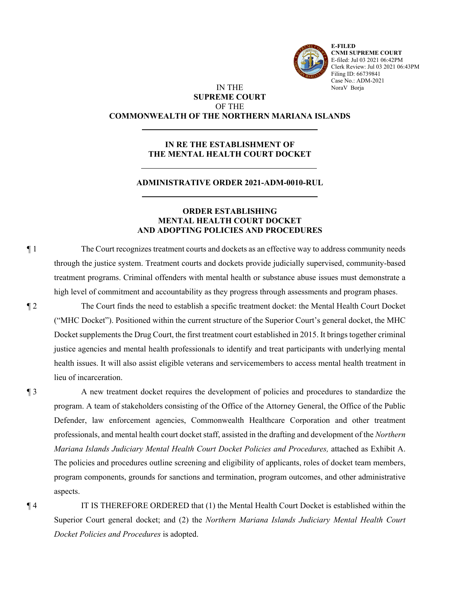

**E-FILED CNMI SUPREME COURT** E-filed: Jul 03 2021 06:42PM Clerk Review: Jul 03 2021 06:43PM Filing ID: 66739841 Case No.: ADM-2021 NoraV Borja

# IN THE **SUPREME COURT** OF THE **COMMONWEALTH OF THE NORTHERN MARIANA ISLANDS**

# **IN RE THE ESTABLISHMENT OF THE MENTAL HEALTH COURT DOCKET**

## **ADMINISTRATIVE ORDER 2021-ADM-0010-RUL**

### **ORDER ESTABLISHING MENTAL HEALTH COURT DOCKET AND ADOPTING POLICIES AND PROCEDURES**

¶ 1 The Court recognizes treatment courts and dockets as an effective way to address community needs through the justice system. Treatment courts and dockets provide judicially supervised, community-based treatment programs. Criminal offenders with mental health or substance abuse issues must demonstrate a high level of commitment and accountability as they progress through assessments and program phases.

¶ 2 The Court finds the need to establish a specific treatment docket: the Mental Health Court Docket ("MHC Docket"). Positioned within the current structure of the Superior Court's general docket, the MHC Docket supplements the Drug Court, the first treatment court established in 2015. It brings together criminal justice agencies and mental health professionals to identify and treat participants with underlying mental health issues. It will also assist eligible veterans and servicemembers to access mental health treatment in lieu of incarceration.

¶ 3 A new treatment docket requires the development of policies and procedures to standardize the program. A team of stakeholders consisting of the Office of the Attorney General, the Office of the Public Defender, law enforcement agencies, Commonwealth Healthcare Corporation and other treatment professionals, and mental health court docket staff, assisted in the drafting and development of the *Northern Mariana Islands Judiciary Mental Health Court Docket Policies and Procedures,* attached as Exhibit A. The policies and procedures outline screening and eligibility of applicants, roles of docket team members, program components, grounds for sanctions and termination, program outcomes, and other administrative aspects.

¶ 4 IT IS THEREFORE ORDERED that (1) the Mental Health Court Docket is established within the Superior Court general docket; and (2) the *Northern Mariana Islands Judiciary Mental Health Court Docket Policies and Procedures* is adopted.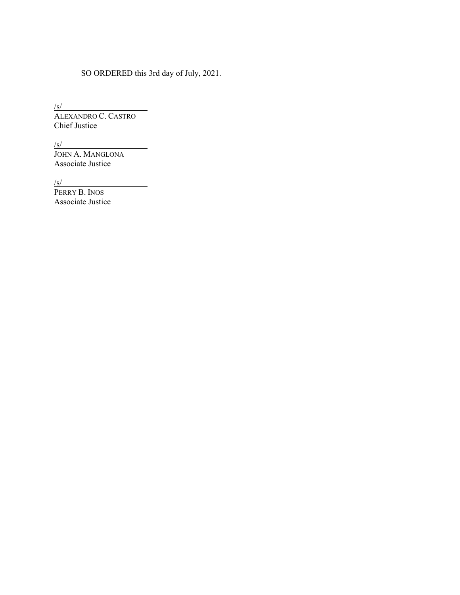# SO ORDERED this 3rd day of July, 2021.

 $\sqrt{s}$ / ALEXANDRO C. CASTRO Chief Justice

 $\sqrt{s}$ / JOHN A. MANGLONA Associate Justice

 $\sqrt{s}$ /

PERRY B. INOS Associate Justice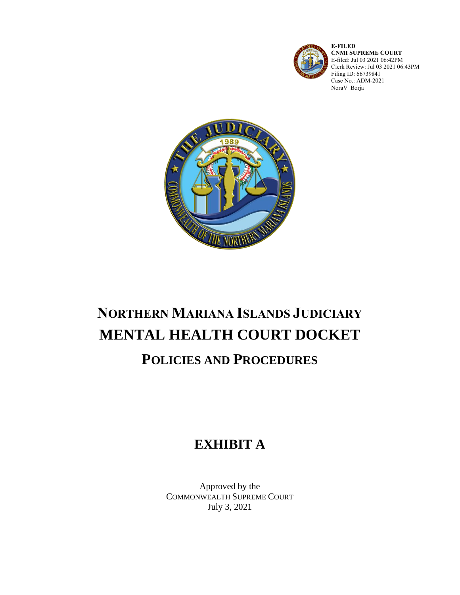

**E-FILED CNMI SUPREME COURT** E-filed: Jul 03 2021 06:42PM Clerk Review: Jul 03 2021 06:43PM Filing ID: 66739841 Case No.: ADM-2021 NoraV Borja



# **NORTHERN MARIANA ISLANDS JUDICIARY MENTAL HEALTH COURT DOCKET**

# **POLICIES AND PROCEDURES**

# **EXHIBIT A**

Approved by the COMMONWEALTH SUPREME COURT July 3, 2021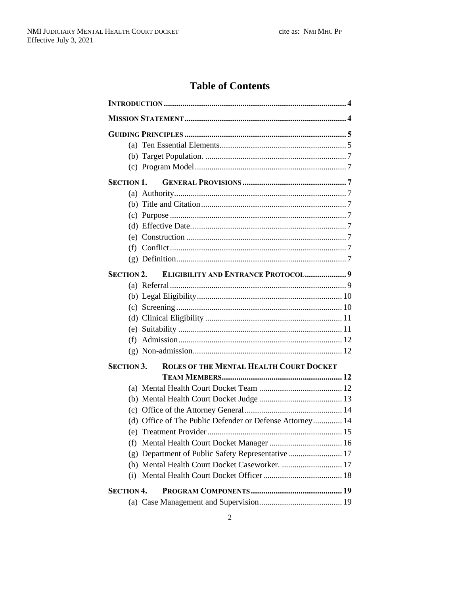# **Table of Contents**

| <b>SECTION 1.</b>                                                   |  |  |  |
|---------------------------------------------------------------------|--|--|--|
|                                                                     |  |  |  |
|                                                                     |  |  |  |
|                                                                     |  |  |  |
|                                                                     |  |  |  |
|                                                                     |  |  |  |
|                                                                     |  |  |  |
|                                                                     |  |  |  |
| <b>ELIGIBILITY AND ENTRANCE PROTOCOL 9</b><br><b>SECTION 2.</b>     |  |  |  |
|                                                                     |  |  |  |
|                                                                     |  |  |  |
|                                                                     |  |  |  |
|                                                                     |  |  |  |
|                                                                     |  |  |  |
|                                                                     |  |  |  |
|                                                                     |  |  |  |
| <b>ROLES OF THE MENTAL HEALTH COURT DOCKET</b><br><b>SECTION 3.</b> |  |  |  |
|                                                                     |  |  |  |
|                                                                     |  |  |  |
|                                                                     |  |  |  |
|                                                                     |  |  |  |
| (d) Office of The Public Defender or Defense Attorney 14            |  |  |  |
|                                                                     |  |  |  |
| (f)                                                                 |  |  |  |
| (g) Department of Public Safety Representative 17                   |  |  |  |
| (h) Mental Health Court Docket Caseworker.  17                      |  |  |  |
| (i)                                                                 |  |  |  |
| <b>SECTION 4.</b>                                                   |  |  |  |
|                                                                     |  |  |  |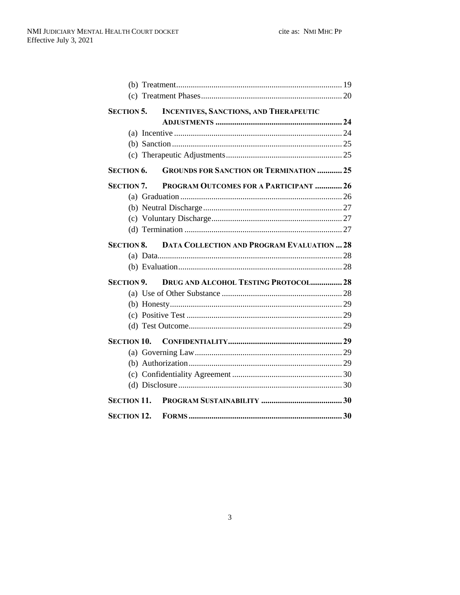| <b>SECTION 5.</b>  | <b>INCENTIVES, SANCTIONS, AND THERAPEUTIC</b>                |  |  |
|--------------------|--------------------------------------------------------------|--|--|
|                    |                                                              |  |  |
|                    |                                                              |  |  |
|                    |                                                              |  |  |
|                    |                                                              |  |  |
| <b>SECTION 6.</b>  | <b>GROUNDS FOR SANCTION OR TERMINATION  25</b>               |  |  |
| <b>SECTION 7.</b>  | PROGRAM OUTCOMES FOR A PARTICIPANT  26                       |  |  |
|                    |                                                              |  |  |
|                    |                                                              |  |  |
|                    |                                                              |  |  |
|                    |                                                              |  |  |
|                    | <b>SECTION 8. DATA COLLECTION AND PROGRAM EVALUATION  28</b> |  |  |
|                    |                                                              |  |  |
|                    |                                                              |  |  |
| <b>SECTION 9.</b>  | <b>DRUG AND ALCOHOL TESTING PROTOCOL 28</b>                  |  |  |
|                    |                                                              |  |  |
|                    |                                                              |  |  |
|                    |                                                              |  |  |
|                    |                                                              |  |  |
|                    |                                                              |  |  |
|                    |                                                              |  |  |
|                    |                                                              |  |  |
|                    |                                                              |  |  |
|                    |                                                              |  |  |
| <b>SECTION 11.</b> |                                                              |  |  |
| <b>SECTION 12.</b> |                                                              |  |  |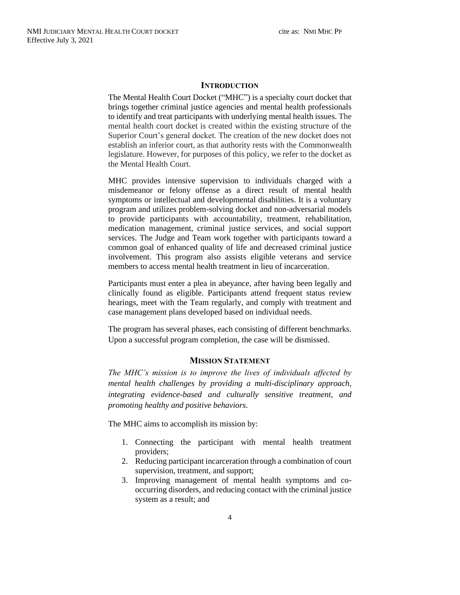#### **INTRODUCTION**

<span id="page-5-0"></span>The Mental Health Court Docket ("MHC") is a specialty court docket that brings together criminal justice agencies and mental health professionals to identify and treat participants with underlying mental health issues. The mental health court docket is created within the existing structure of the Superior Court's general docket. The creation of the new docket does not establish an inferior court, as that authority rests with the Commonwealth legislature. However, for purposes of this policy, we refer to the docket as the Mental Health Court.

MHC provides intensive supervision to individuals charged with a misdemeanor or felony offense as a direct result of mental health symptoms or intellectual and developmental disabilities. It is a voluntary program and utilizes problem-solving docket and non-adversarial models to provide participants with accountability, treatment, rehabilitation, medication management, criminal justice services, and social support services. The Judge and Team work together with participants toward a common goal of enhanced quality of life and decreased criminal justice involvement. This program also assists eligible veterans and service members to access mental health treatment in lieu of incarceration.

Participants must enter a plea in abeyance, after having been legally and clinically found as eligible. Participants attend frequent status review hearings, meet with the Team regularly, and comply with treatment and case management plans developed based on individual needs.

The program has several phases, each consisting of different benchmarks. Upon a successful program completion, the case will be dismissed.

### **MISSION STATEMENT**

<span id="page-5-1"></span>*The MHC's mission is to improve the lives of individuals affected by mental health challenges by providing a multi-disciplinary approach, integrating evidence-based and culturally sensitive treatment, and promoting healthy and positive behaviors.*

The MHC aims to accomplish its mission by:

- 1. Connecting the participant with mental health treatment providers;
- 2. Reducing participant incarceration through a combination of court supervision, treatment, and support;
- 3. Improving management of mental health symptoms and cooccurring disorders, and reducing contact with the criminal justice system as a result; and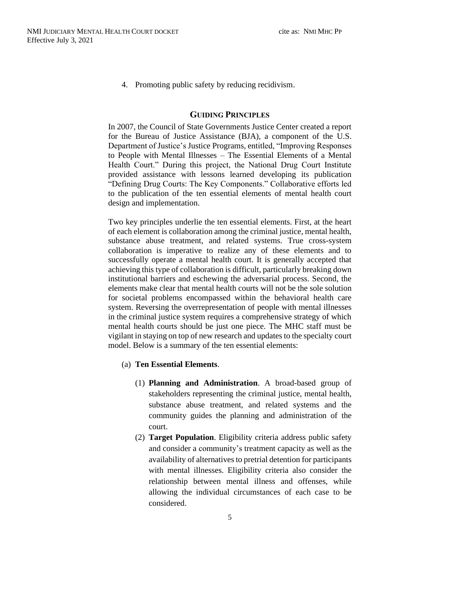4. Promoting public safety by reducing recidivism.

#### **GUIDING PRINCIPLES**

<span id="page-6-0"></span>In 2007, the Council of State Governments Justice Center created a report for the Bureau of Justice Assistance (BJA), a component of the U.S. Department of Justice's Justice Programs, entitled, "Improving Responses to People with Mental Illnesses – The Essential Elements of a Mental Health Court." During this project, the National Drug Court Institute provided assistance with lessons learned developing its publication "Defining Drug Courts: The Key Components." Collaborative efforts led to the publication of the ten essential elements of mental health court design and implementation.

Two key principles underlie the ten essential elements. First, at the heart of each element is collaboration among the criminal justice, mental health, substance abuse treatment, and related systems. True cross-system collaboration is imperative to realize any of these elements and to successfully operate a mental health court. It is generally accepted that achieving this type of collaboration is difficult, particularly breaking down institutional barriers and eschewing the adversarial process. Second, the elements make clear that mental health courts will not be the sole solution for societal problems encompassed within the behavioral health care system. Reversing the overrepresentation of people with mental illnesses in the criminal justice system requires a comprehensive strategy of which mental health courts should be just one piece. The MHC staff must be vigilant in staying on top of new research and updates to the specialty court model. Below is a summary of the ten essential elements:

#### <span id="page-6-1"></span>(a) **Ten Essential Elements**.

- (1) **Planning and Administration**. A broad-based group of stakeholders representing the criminal justice, mental health, substance abuse treatment, and related systems and the community guides the planning and administration of the court.
- (2) **Target Population**. Eligibility criteria address public safety and consider a community's treatment capacity as well as the availability of alternatives to pretrial detention for participants with mental illnesses. Eligibility criteria also consider the relationship between mental illness and offenses, while allowing the individual circumstances of each case to be considered.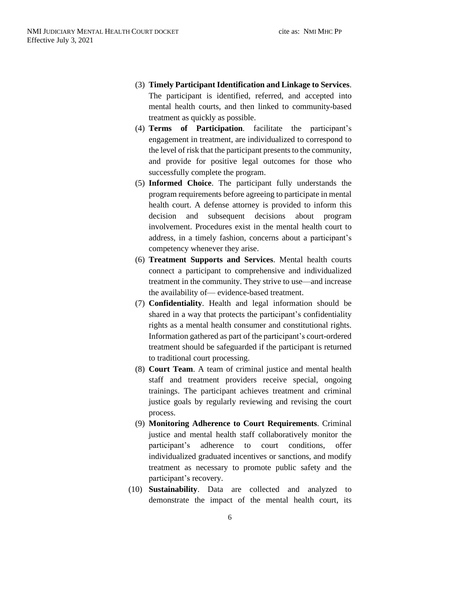- (3) **Timely Participant Identification and Linkage to Services**. The participant is identified, referred, and accepted into mental health courts, and then linked to community-based treatment as quickly as possible.
- (4) **Terms of Participation**. facilitate the participant's engagement in treatment, are individualized to correspond to the level of risk that the participant presents to the community, and provide for positive legal outcomes for those who successfully complete the program.
- (5) **Informed Choice**. The participant fully understands the program requirements before agreeing to participate in mental health court. A defense attorney is provided to inform this decision and subsequent decisions about program involvement. Procedures exist in the mental health court to address, in a timely fashion, concerns about a participant's competency whenever they arise.
- (6) **Treatment Supports and Services**. Mental health courts connect a participant to comprehensive and individualized treatment in the community. They strive to use—and increase the availability of— evidence-based treatment.
- (7) **Confidentiality**. Health and legal information should be shared in a way that protects the participant's confidentiality rights as a mental health consumer and constitutional rights. Information gathered as part of the participant's court-ordered treatment should be safeguarded if the participant is returned to traditional court processing.
- (8) **Court Team**. A team of criminal justice and mental health staff and treatment providers receive special, ongoing trainings. The participant achieves treatment and criminal justice goals by regularly reviewing and revising the court process.
- (9) **Monitoring Adherence to Court Requirements**. Criminal justice and mental health staff collaboratively monitor the participant's adherence to court conditions, offer individualized graduated incentives or sanctions, and modify treatment as necessary to promote public safety and the participant's recovery.
- (10) **Sustainability**. Data are collected and analyzed to demonstrate the impact of the mental health court, its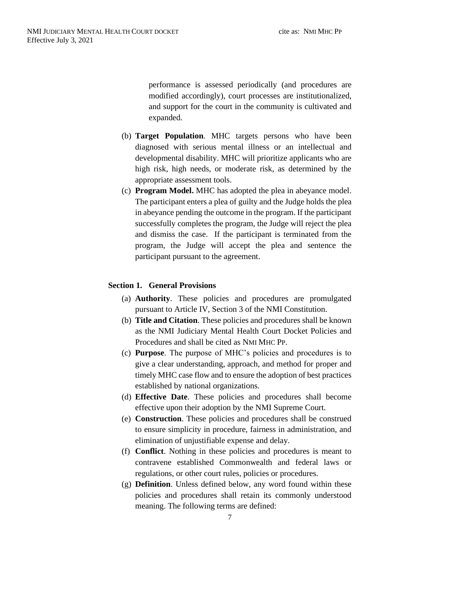performance is assessed periodically (and procedures are modified accordingly), court processes are institutionalized, and support for the court in the community is cultivated and expanded.

- <span id="page-8-0"></span>(b) **Target Population**. MHC targets persons who have been diagnosed with serious mental illness or an intellectual and developmental disability. MHC will prioritize applicants who are high risk, high needs, or moderate risk, as determined by the appropriate assessment tools.
- <span id="page-8-1"></span>(c) **Program Model.** MHC has adopted the plea in abeyance model. The participant enters a plea of guilty and the Judge holds the plea in abeyance pending the outcome in the program. If the participant successfully completes the program, the Judge will reject the plea and dismiss the case. If the participant is terminated from the program, the Judge will accept the plea and sentence the participant pursuant to the agreement.

## <span id="page-8-3"></span><span id="page-8-2"></span>**Section 1. General Provisions**

- (a) **Authority**. These policies and procedures are promulgated pursuant to Article IV, Section 3 of the NMI Constitution.
- <span id="page-8-4"></span>(b) **Title and Citation**. These policies and procedures shall be known as the NMI Judiciary Mental Health Court Docket Policies and Procedures and shall be cited as NMI MHC PP.
- <span id="page-8-5"></span>(c) **Purpose**. The purpose of MHC's policies and procedures is to give a clear understanding, approach, and method for proper and timely MHC case flow and to ensure the adoption of best practices established by national organizations.
- <span id="page-8-6"></span>(d) **Effective Date**. These policies and procedures shall become effective upon their adoption by the NMI Supreme Court.
- <span id="page-8-7"></span>(e) **Construction**. These policies and procedures shall be construed to ensure simplicity in procedure, fairness in administration, and elimination of unjustifiable expense and delay.
- <span id="page-8-8"></span>(f) **Conflict**. Nothing in these policies and procedures is meant to contravene established Commonwealth and federal laws or regulations, or other court rules, policies or procedures.
- <span id="page-8-9"></span>(g) **Definition**. Unless defined below, any word found within these policies and procedures shall retain its commonly understood meaning. The following terms are defined: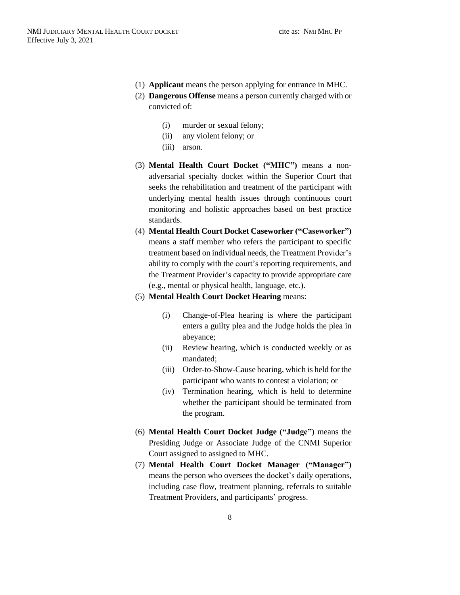- (1) **Applicant** means the person applying for entrance in MHC.
- (2) **Dangerous Offense** means a person currently charged with or convicted of:
	- (i) murder or sexual felony;
	- (ii) any violent felony; or
	- (iii) arson.
- (3) **Mental Health Court Docket ("MHC")** means a nonadversarial specialty docket within the Superior Court that seeks the rehabilitation and treatment of the participant with underlying mental health issues through continuous court monitoring and holistic approaches based on best practice standards.
- (4) **Mental Health Court Docket Caseworker ("Caseworker")** means a staff member who refers the participant to specific treatment based on individual needs, the Treatment Provider's ability to comply with the court's reporting requirements, and the Treatment Provider's capacity to provide appropriate care (e.g., mental or physical health, language, etc.).
- (5) **Mental Health Court Docket Hearing** means:
	- (i) Change-of-Plea hearing is where the participant enters a guilty plea and the Judge holds the plea in abeyance;
	- (ii) Review hearing, which is conducted weekly or as mandated;
	- (iii) Order-to-Show-Cause hearing, which is held for the participant who wants to contest a violation; or
	- (iv) Termination hearing, which is held to determine whether the participant should be terminated from the program.
- (6) **Mental Health Court Docket Judge ("Judge")** means the Presiding Judge or Associate Judge of the CNMI Superior Court assigned to assigned to MHC.
- (7) **Mental Health Court Docket Manager ("Manager")** means the person who oversees the docket's daily operations, including case flow, treatment planning, referrals to suitable Treatment Providers, and participants' progress.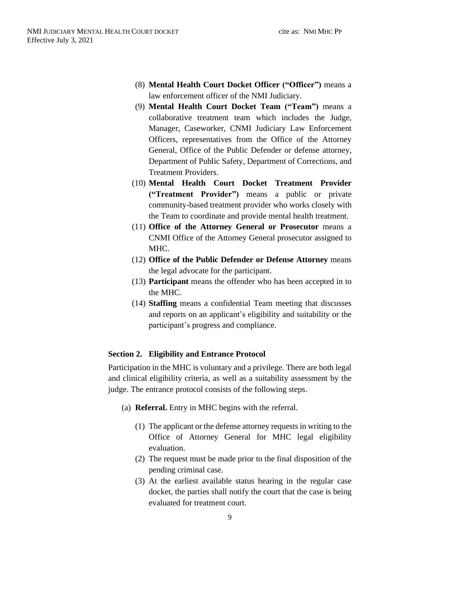- (8) **Mental Health Court Docket Officer ("Officer")** means a law enforcement officer of the NMI Judiciary.
- (9) **Mental Health Court Docket Team ("Team")** means a collaborative treatment team which includes the Judge, Manager, Caseworker, CNMI Judiciary Law Enforcement Officers, representatives from the Office of the Attorney General, Office of the Public Defender or defense attorney, Department of Public Safety, Department of Corrections, and Treatment Providers.
- (10) **Mental Health Court Docket Treatment Provider ("Treatment Provider")** means a public or private community-based treatment provider who works closely with the Team to coordinate and provide mental health treatment.
- (11) **Office of the Attorney General or Prosecutor** means a CNMI Office of the Attorney General prosecutor assigned to MHC.
- (12) **Office of the Public Defender or Defense Attorney** means the legal advocate for the participant.
- (13) **Participant** means the offender who has been accepted in to the MHC.
- (14) **Staffing** means a confidential Team meeting that discusses and reports on an applicant's eligibility and suitability or the participant's progress and compliance.

#### <span id="page-10-0"></span>**Section 2. Eligibility and Entrance Protocol**

Participation in the MHC is voluntary and a privilege. There are both legal and clinical eligibility criteria, as well as a suitability assessment by the judge. The entrance protocol consists of the following steps.

- <span id="page-10-1"></span>(a) **Referral.** Entry in MHC begins with the referral.
	- (1) The applicant or the defense attorney requests in writing to the Office of Attorney General for MHC legal eligibility evaluation.
	- (2) The request must be made prior to the final disposition of the pending criminal case.
	- (3) At the earliest available status hearing in the regular case docket, the parties shall notify the court that the case is being evaluated for treatment court.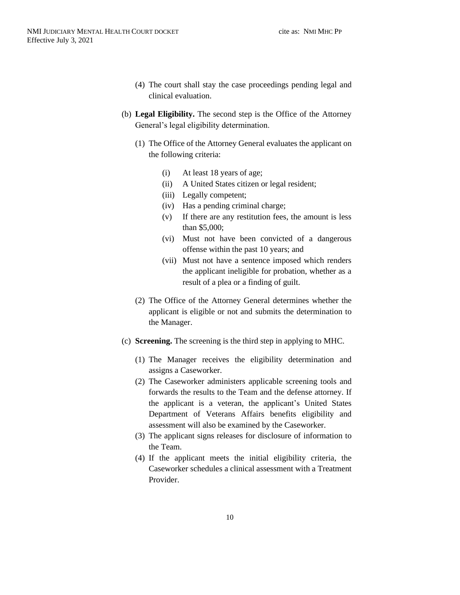- (4) The court shall stay the case proceedings pending legal and clinical evaluation.
- <span id="page-11-0"></span>(b) **Legal Eligibility.** The second step is the Office of the Attorney General's legal eligibility determination.
	- (1) The Office of the Attorney General evaluates the applicant on the following criteria:
		- (i) At least 18 years of age;
		- (ii) A United States citizen or legal resident;
		- (iii) Legally competent;
		- (iv) Has a pending criminal charge;
		- (v) If there are any restitution fees, the amount is less than \$5,000;
		- (vi) Must not have been convicted of a dangerous offense within the past 10 years; and
		- (vii) Must not have a sentence imposed which renders the applicant ineligible for probation, whether as a result of a plea or a finding of guilt.
	- (2) The Office of the Attorney General determines whether the applicant is eligible or not and submits the determination to the Manager.
- <span id="page-11-1"></span>(c) **Screening.** The screening is the third step in applying to MHC.
	- (1) The Manager receives the eligibility determination and assigns a Caseworker.
	- (2) The Caseworker administers applicable screening tools and forwards the results to the Team and the defense attorney. If the applicant is a veteran, the applicant's United States Department of Veterans Affairs benefits eligibility and assessment will also be examined by the Caseworker.
	- (3) The applicant signs releases for disclosure of information to the Team.
	- (4) If the applicant meets the initial eligibility criteria, the Caseworker schedules a clinical assessment with a Treatment Provider.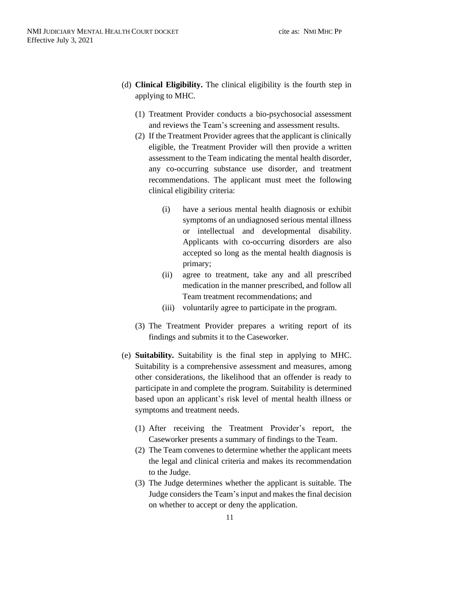- <span id="page-12-0"></span>(d) **Clinical Eligibility.** The clinical eligibility is the fourth step in applying to MHC.
	- (1) Treatment Provider conducts a bio-psychosocial assessment and reviews the Team's screening and assessment results.
	- (2) If the Treatment Provider agrees that the applicant is clinically eligible, the Treatment Provider will then provide a written assessment to the Team indicating the mental health disorder, any co-occurring substance use disorder, and treatment recommendations. The applicant must meet the following clinical eligibility criteria:
		- (i) have a serious mental health diagnosis or exhibit symptoms of an undiagnosed serious mental illness or intellectual and developmental disability. Applicants with co-occurring disorders are also accepted so long as the mental health diagnosis is primary;
		- (ii) agree to treatment, take any and all prescribed medication in the manner prescribed, and follow all Team treatment recommendations; and
		- (iii) voluntarily agree to participate in the program.
	- (3) The Treatment Provider prepares a writing report of its findings and submits it to the Caseworker.
- <span id="page-12-1"></span>(e) **Suitability.** Suitability is the final step in applying to MHC. Suitability is a comprehensive assessment and measures, among other considerations, the likelihood that an offender is ready to participate in and complete the program. Suitability is determined based upon an applicant's risk level of mental health illness or symptoms and treatment needs.
	- (1) After receiving the Treatment Provider's report, the Caseworker presents a summary of findings to the Team.
	- (2) The Team convenes to determine whether the applicant meets the legal and clinical criteria and makes its recommendation to the Judge.
	- (3) The Judge determines whether the applicant is suitable. The Judge considers the Team'sinput and makes the final decision on whether to accept or deny the application.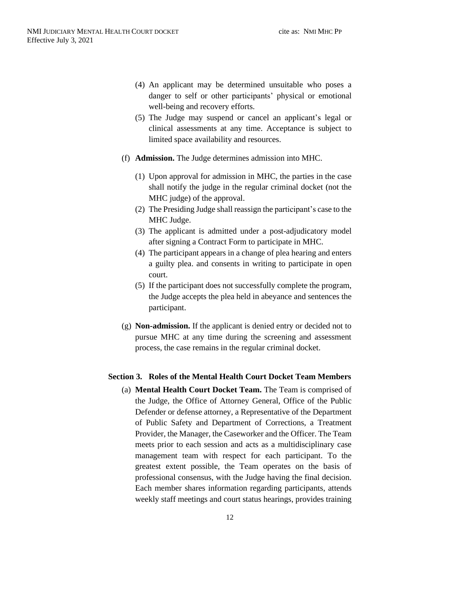- (4) An applicant may be determined unsuitable who poses a danger to self or other participants' physical or emotional well-being and recovery efforts.
- (5) The Judge may suspend or cancel an applicant's legal or clinical assessments at any time. Acceptance is subject to limited space availability and resources.
- <span id="page-13-0"></span>(f) **Admission.** The Judge determines admission into MHC.
	- (1) Upon approval for admission in MHC, the parties in the case shall notify the judge in the regular criminal docket (not the MHC judge) of the approval.
	- (2) The Presiding Judge shall reassign the participant's case to the MHC Judge.
	- (3) The applicant is admitted under a post-adjudicatory model after signing a Contract Form to participate in MHC.
	- (4) The participant appears in a change of plea hearing and enters a guilty plea. and consents in writing to participate in open court.
	- (5) If the participant does not successfully complete the program, the Judge accepts the plea held in abeyance and sentences the participant.
- <span id="page-13-1"></span>(g) **Non-admission.** If the applicant is denied entry or decided not to pursue MHC at any time during the screening and assessment process, the case remains in the regular criminal docket.

#### <span id="page-13-3"></span><span id="page-13-2"></span>**Section 3. Roles of the Mental Health Court Docket Team Members**

(a) **Mental Health Court Docket Team.** The Team is comprised of the Judge, the Office of Attorney General, Office of the Public Defender or defense attorney, a Representative of the Department of Public Safety and Department of Corrections, a Treatment Provider, the Manager, the Caseworker and the Officer. The Team meets prior to each session and acts as a multidisciplinary case management team with respect for each participant. To the greatest extent possible, the Team operates on the basis of professional consensus, with the Judge having the final decision. Each member shares information regarding participants, attends weekly staff meetings and court status hearings, provides training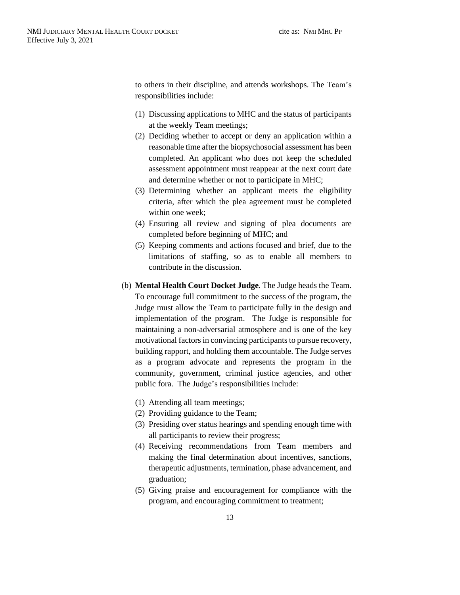to others in their discipline, and attends workshops. The Team's responsibilities include:

- (1) Discussing applications to MHC and the status of participants at the weekly Team meetings;
- (2) Deciding whether to accept or deny an application within a reasonable time after the biopsychosocial assessment has been completed. An applicant who does not keep the scheduled assessment appointment must reappear at the next court date and determine whether or not to participate in MHC;
- (3) Determining whether an applicant meets the eligibility criteria, after which the plea agreement must be completed within one week;
- (4) Ensuring all review and signing of plea documents are completed before beginning of MHC; and
- (5) Keeping comments and actions focused and brief, due to the limitations of staffing, so as to enable all members to contribute in the discussion.
- <span id="page-14-0"></span>(b) **Mental Health Court Docket Judge**. The Judge heads the Team. To encourage full commitment to the success of the program, the Judge must allow the Team to participate fully in the design and implementation of the program. The Judge is responsible for maintaining a non-adversarial atmosphere and is one of the key motivational factors in convincing participants to pursue recovery, building rapport, and holding them accountable. The Judge serves as a program advocate and represents the program in the community, government, criminal justice agencies, and other public fora. The Judge's responsibilities include:
	- (1) Attending all team meetings;
	- (2) Providing guidance to the Team;
	- (3) Presiding over status hearings and spending enough time with all participants to review their progress;
	- (4) Receiving recommendations from Team members and making the final determination about incentives, sanctions, therapeutic adjustments, termination, phase advancement, and graduation;
	- (5) Giving praise and encouragement for compliance with the program, and encouraging commitment to treatment;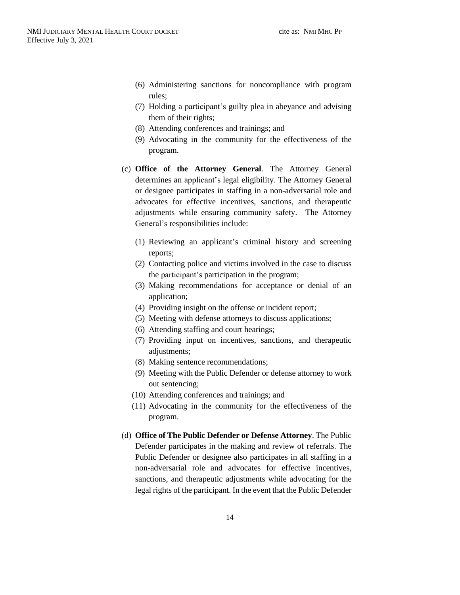- (6) Administering sanctions for noncompliance with program rules;
- (7) Holding a participant's guilty plea in abeyance and advising them of their rights;
- (8) Attending conferences and trainings; and
- (9) Advocating in the community for the effectiveness of the program.
- <span id="page-15-0"></span>(c) **Office of the Attorney General**. The Attorney General determines an applicant's legal eligibility. The Attorney General or designee participates in staffing in a non-adversarial role and advocates for effective incentives, sanctions, and therapeutic adjustments while ensuring community safety. The Attorney General's responsibilities include:
	- (1) Reviewing an applicant's criminal history and screening reports;
	- (2) Contacting police and victims involved in the case to discuss the participant's participation in the program;
	- (3) Making recommendations for acceptance or denial of an application;
	- (4) Providing insight on the offense or incident report;
	- (5) Meeting with defense attorneys to discuss applications;
	- (6) Attending staffing and court hearings;
	- (7) Providing input on incentives, sanctions, and therapeutic adjustments;
	- (8) Making sentence recommendations;
	- (9) Meeting with the Public Defender or defense attorney to work out sentencing;
	- (10) Attending conferences and trainings; and
	- (11) Advocating in the community for the effectiveness of the program.
- <span id="page-15-1"></span>(d) **Office of The Public Defender or Defense Attorney**. The Public Defender participates in the making and review of referrals. The Public Defender or designee also participates in all staffing in a non-adversarial role and advocates for effective incentives, sanctions, and therapeutic adjustments while advocating for the legal rights of the participant. In the event that the Public Defender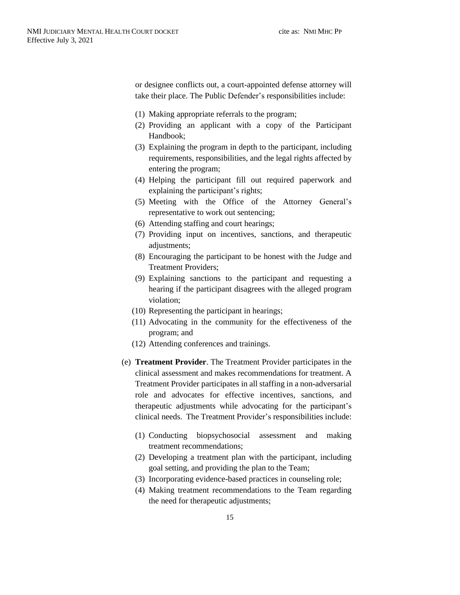or designee conflicts out, a court-appointed defense attorney will take their place. The Public Defender's responsibilities include:

- (1) Making appropriate referrals to the program;
- (2) Providing an applicant with a copy of the Participant Handbook;
- (3) Explaining the program in depth to the participant, including requirements, responsibilities, and the legal rights affected by entering the program;
- (4) Helping the participant fill out required paperwork and explaining the participant's rights;
- (5) Meeting with the Office of the Attorney General's representative to work out sentencing;
- (6) Attending staffing and court hearings;
- (7) Providing input on incentives, sanctions, and therapeutic adjustments;
- (8) Encouraging the participant to be honest with the Judge and Treatment Providers;
- (9) Explaining sanctions to the participant and requesting a hearing if the participant disagrees with the alleged program violation;
- (10) Representing the participant in hearings;
- (11) Advocating in the community for the effectiveness of the program; and
- (12) Attending conferences and trainings.
- <span id="page-16-0"></span>(e) **Treatment Provider**. The Treatment Provider participates in the clinical assessment and makes recommendations for treatment. A Treatment Provider participates in all staffing in a non-adversarial role and advocates for effective incentives, sanctions, and therapeutic adjustments while advocating for the participant's clinical needs. The Treatment Provider's responsibilities include:
	- (1) Conducting biopsychosocial assessment and making treatment recommendations;
	- (2) Developing a treatment plan with the participant, including goal setting, and providing the plan to the Team;
	- (3) Incorporating evidence-based practices in counseling role;
	- (4) Making treatment recommendations to the Team regarding the need for therapeutic adjustments;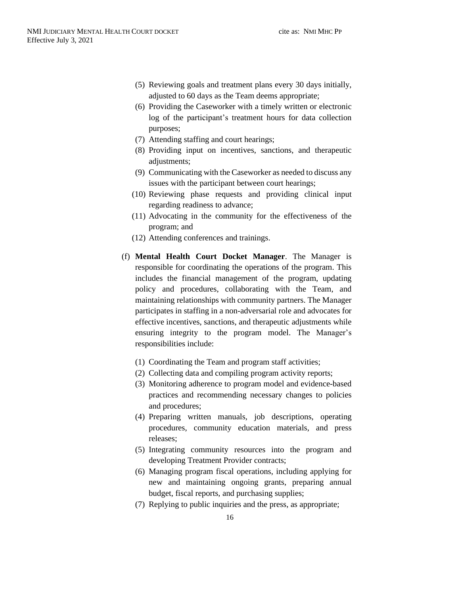- (5) Reviewing goals and treatment plans every 30 days initially, adjusted to 60 days as the Team deems appropriate;
- (6) Providing the Caseworker with a timely written or electronic log of the participant's treatment hours for data collection purposes;
- (7) Attending staffing and court hearings;
- (8) Providing input on incentives, sanctions, and therapeutic adjustments;
- (9) Communicating with the Caseworker as needed to discuss any issues with the participant between court hearings;
- (10) Reviewing phase requests and providing clinical input regarding readiness to advance;
- (11) Advocating in the community for the effectiveness of the program; and
- (12) Attending conferences and trainings.
- <span id="page-17-0"></span>(f) **Mental Health Court Docket Manager**. The Manager is responsible for coordinating the operations of the program. This includes the financial management of the program, updating policy and procedures, collaborating with the Team, and maintaining relationships with community partners. The Manager participates in staffing in a non-adversarial role and advocates for effective incentives, sanctions, and therapeutic adjustments while ensuring integrity to the program model. The Manager's responsibilities include:
	- (1) Coordinating the Team and program staff activities;
	- (2) Collecting data and compiling program activity reports;
	- (3) Monitoring adherence to program model and evidence-based practices and recommending necessary changes to policies and procedures;
	- (4) Preparing written manuals, job descriptions, operating procedures, community education materials, and press releases;
	- (5) Integrating community resources into the program and developing Treatment Provider contracts;
	- (6) Managing program fiscal operations, including applying for new and maintaining ongoing grants, preparing annual budget, fiscal reports, and purchasing supplies;
	- (7) Replying to public inquiries and the press, as appropriate;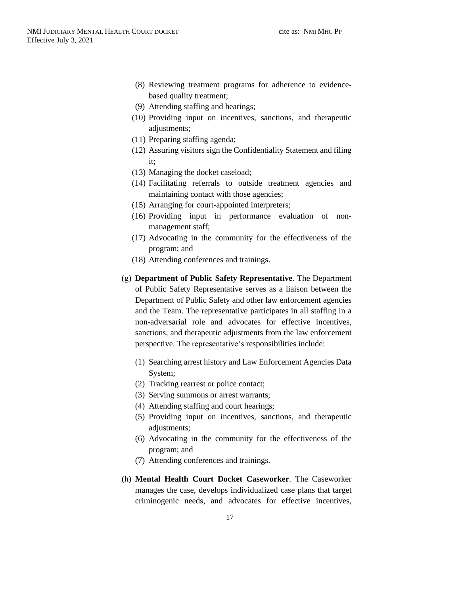- (8) Reviewing treatment programs for adherence to evidencebased quality treatment;
- (9) Attending staffing and hearings;
- (10) Providing input on incentives, sanctions, and therapeutic adjustments;
- (11) Preparing staffing agenda;
- (12) Assuring visitors sign the Confidentiality Statement and filing it;
- (13) Managing the docket caseload;
- (14) Facilitating referrals to outside treatment agencies and maintaining contact with those agencies;
- (15) Arranging for court-appointed interpreters;
- (16) Providing input in performance evaluation of nonmanagement staff;
- (17) Advocating in the community for the effectiveness of the program; and
- (18) Attending conferences and trainings.
- <span id="page-18-0"></span>(g) **Department of Public Safety Representative**. The Department of Public Safety Representative serves as a liaison between the Department of Public Safety and other law enforcement agencies and the Team. The representative participates in all staffing in a non-adversarial role and advocates for effective incentives, sanctions, and therapeutic adjustments from the law enforcement perspective. The representative's responsibilities include:
	- (1) Searching arrest history and Law Enforcement Agencies Data System;
	- (2) Tracking rearrest or police contact;
	- (3) Serving summons or arrest warrants;
	- (4) Attending staffing and court hearings;
	- (5) Providing input on incentives, sanctions, and therapeutic adjustments;
	- (6) Advocating in the community for the effectiveness of the program; and
	- (7) Attending conferences and trainings.
- <span id="page-18-1"></span>(h) **Mental Health Court Docket Caseworker**. The Caseworker manages the case, develops individualized case plans that target criminogenic needs, and advocates for effective incentives,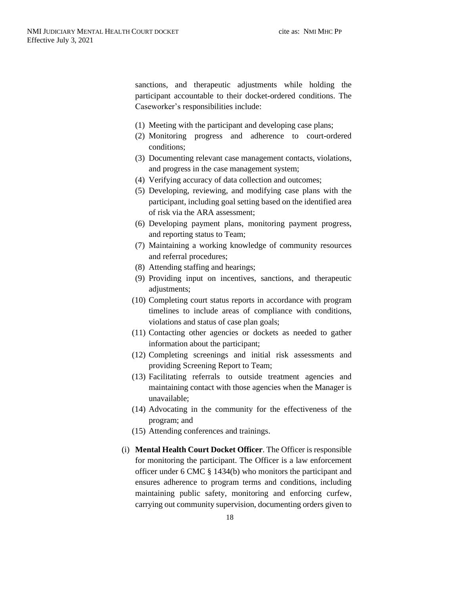sanctions, and therapeutic adjustments while holding the participant accountable to their docket-ordered conditions. The Caseworker's responsibilities include:

- (1) Meeting with the participant and developing case plans;
- (2) Monitoring progress and adherence to court-ordered conditions;
- (3) Documenting relevant case management contacts, violations, and progress in the case management system;
- (4) Verifying accuracy of data collection and outcomes;
- (5) Developing, reviewing, and modifying case plans with the participant, including goal setting based on the identified area of risk via the ARA assessment;
- (6) Developing payment plans, monitoring payment progress, and reporting status to Team;
- (7) Maintaining a working knowledge of community resources and referral procedures;
- (8) Attending staffing and hearings;
- (9) Providing input on incentives, sanctions, and therapeutic adjustments;
- (10) Completing court status reports in accordance with program timelines to include areas of compliance with conditions, violations and status of case plan goals;
- (11) Contacting other agencies or dockets as needed to gather information about the participant;
- (12) Completing screenings and initial risk assessments and providing Screening Report to Team;
- (13) Facilitating referrals to outside treatment agencies and maintaining contact with those agencies when the Manager is unavailable;
- (14) Advocating in the community for the effectiveness of the program; and
- (15) Attending conferences and trainings.
- <span id="page-19-0"></span>(i) **Mental Health Court Docket Officer**. The Officer is responsible for monitoring the participant. The Officer is a law enforcement officer under 6 CMC § 1434(b) who monitors the participant and ensures adherence to program terms and conditions, including maintaining public safety, monitoring and enforcing curfew, carrying out community supervision, documenting orders given to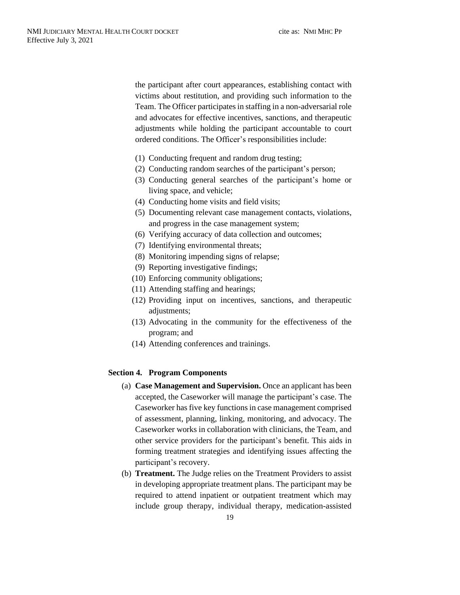the participant after court appearances, establishing contact with victims about restitution, and providing such information to the Team. The Officer participates in staffing in a non-adversarial role and advocates for effective incentives, sanctions, and therapeutic adjustments while holding the participant accountable to court ordered conditions. The Officer's responsibilities include:

- (1) Conducting frequent and random drug testing;
- (2) Conducting random searches of the participant's person;
- (3) Conducting general searches of the participant's home or living space, and vehicle;
- (4) Conducting home visits and field visits;
- (5) Documenting relevant case management contacts, violations, and progress in the case management system;
- (6) Verifying accuracy of data collection and outcomes;
- (7) Identifying environmental threats;
- (8) Monitoring impending signs of relapse;
- (9) Reporting investigative findings;
- (10) Enforcing community obligations;
- (11) Attending staffing and hearings;
- (12) Providing input on incentives, sanctions, and therapeutic adjustments;
- (13) Advocating in the community for the effectiveness of the program; and
- (14) Attending conferences and trainings.

#### <span id="page-20-1"></span><span id="page-20-0"></span>**Section 4. Program Components**

- (a) **Case Management and Supervision.** Once an applicant has been accepted, the Caseworker will manage the participant's case. The Caseworker has five key functions in case management comprised of assessment, planning, linking, monitoring, and advocacy. The Caseworker works in collaboration with clinicians, the Team, and other service providers for the participant's benefit. This aids in forming treatment strategies and identifying issues affecting the participant's recovery.
- <span id="page-20-2"></span>(b) **Treatment.** The Judge relies on the Treatment Providers to assist in developing appropriate treatment plans. The participant may be required to attend inpatient or outpatient treatment which may include group therapy, individual therapy, medication-assisted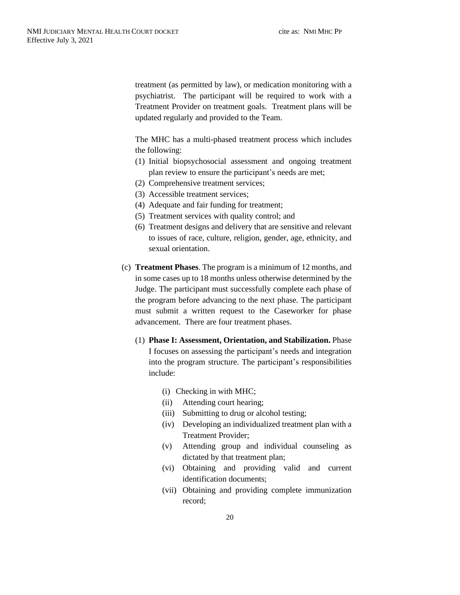treatment (as permitted by law), or medication monitoring with a psychiatrist. The participant will be required to work with a Treatment Provider on treatment goals. Treatment plans will be updated regularly and provided to the Team.

The MHC has a multi-phased treatment process which includes the following:

- (1) Initial biopsychosocial assessment and ongoing treatment plan review to ensure the participant's needs are met;
- (2) Comprehensive treatment services;
- (3) Accessible treatment services;
- (4) Adequate and fair funding for treatment;
- (5) Treatment services with quality control; and
- (6) Treatment designs and delivery that are sensitive and relevant to issues of race, culture, religion, gender, age, ethnicity, and sexual orientation.
- <span id="page-21-0"></span>(c) **Treatment Phases**. The program is a minimum of 12 months, and in some cases up to 18 months unless otherwise determined by the Judge. The participant must successfully complete each phase of the program before advancing to the next phase. The participant must submit a written request to the Caseworker for phase advancement. There are four treatment phases.
	- (1) **Phase I: Assessment, Orientation, and Stabilization.** Phase I focuses on assessing the participant's needs and integration into the program structure. The participant's responsibilities include:
		- (i) Checking in with MHC;
		- (ii) Attending court hearing;
		- (iii) Submitting to drug or alcohol testing;
		- (iv) Developing an individualized treatment plan with a Treatment Provider;
		- (v) Attending group and individual counseling as dictated by that treatment plan;
		- (vi) Obtaining and providing valid and current identification documents;
		- (vii) Obtaining and providing complete immunization record;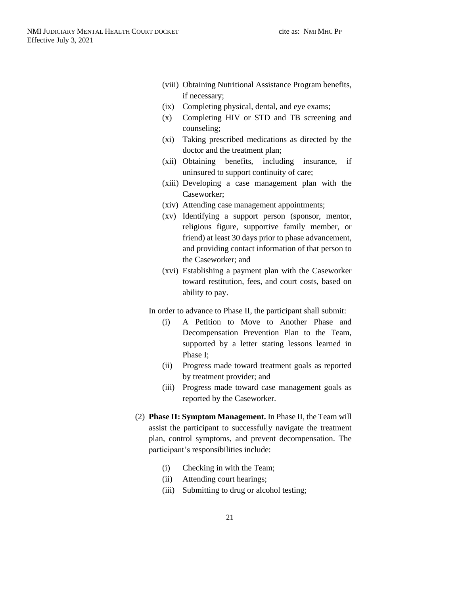- (viii) Obtaining Nutritional Assistance Program benefits, if necessary;
- (ix) Completing physical, dental, and eye exams;
- (x) Completing HIV or STD and TB screening and counseling;
- (xi) Taking prescribed medications as directed by the doctor and the treatment plan;
- (xii) Obtaining benefits, including insurance, if uninsured to support continuity of care;
- (xiii) Developing a case management plan with the Caseworker;
- (xiv) Attending case management appointments;
- (xv) Identifying a support person (sponsor, mentor, religious figure, supportive family member, or friend) at least 30 days prior to phase advancement, and providing contact information of that person to the Caseworker; and
- (xvi) Establishing a payment plan with the Caseworker toward restitution, fees, and court costs, based on ability to pay.

In order to advance to Phase II, the participant shall submit:

- (i) A Petition to Move to Another Phase and Decompensation Prevention Plan to the Team, supported by a letter stating lessons learned in Phase I;
- (ii) Progress made toward treatment goals as reported by treatment provider; and
- (iii) Progress made toward case management goals as reported by the Caseworker.
- (2) **Phase II: Symptom Management.** In Phase II, the Team will assist the participant to successfully navigate the treatment plan, control symptoms, and prevent decompensation. The participant's responsibilities include:
	- (i) Checking in with the Team;
	- (ii) Attending court hearings;
	- (iii) Submitting to drug or alcohol testing;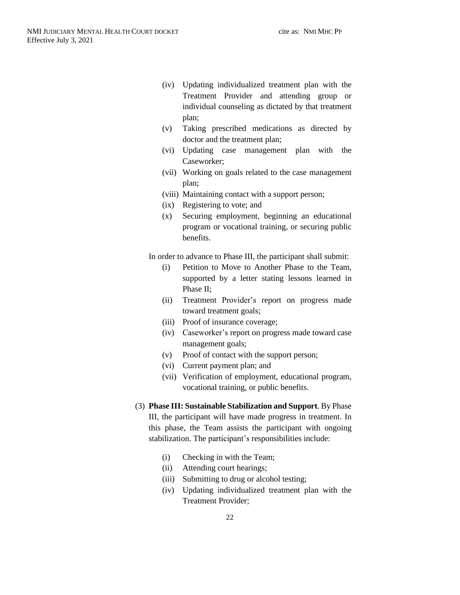- (iv) Updating individualized treatment plan with the Treatment Provider and attending group or individual counseling as dictated by that treatment plan;
- (v) Taking prescribed medications as directed by doctor and the treatment plan;
- (vi) Updating case management plan with the Caseworker;
- (vii) Working on goals related to the case management plan;
- (viii) Maintaining contact with a support person;
- (ix) Registering to vote; and
- (x) Securing employment, beginning an educational program or vocational training, or securing public benefits.

In order to advance to Phase III, the participant shall submit:

- (i) Petition to Move to Another Phase to the Team, supported by a letter stating lessons learned in Phase II;
- (ii) Treatment Provider's report on progress made toward treatment goals;
- (iii) Proof of insurance coverage;
- (iv) Caseworker's report on progress made toward case management goals;
- (v) Proof of contact with the support person;
- (vi) Current payment plan; and
- (vii) Verification of employment, educational program, vocational training, or public benefits.
- (3) **Phase III: Sustainable Stabilization and Support**. By Phase III, the participant will have made progress in treatment. In

this phase, the Team assists the participant with ongoing stabilization. The participant's responsibilities include:

- (i) Checking in with the Team;
- (ii) Attending court hearings;
- (iii) Submitting to drug or alcohol testing;
- (iv) Updating individualized treatment plan with the Treatment Provider;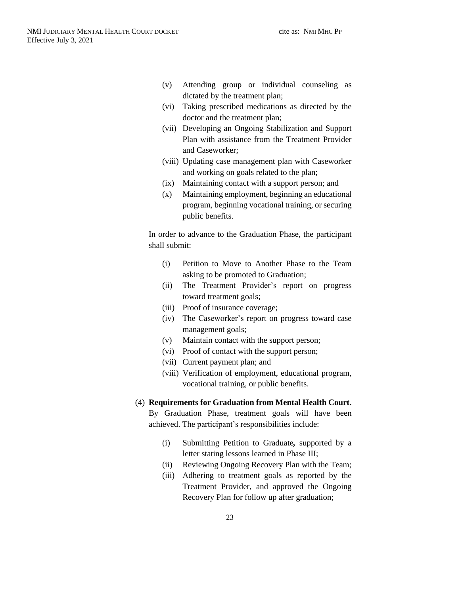- (v) Attending group or individual counseling as dictated by the treatment plan;
- (vi) Taking prescribed medications as directed by the doctor and the treatment plan;
- (vii) Developing an Ongoing Stabilization and Support Plan with assistance from the Treatment Provider and Caseworker;
- (viii) Updating case management plan with Caseworker and working on goals related to the plan;
- (ix) Maintaining contact with a support person; and
- (x) Maintaining employment, beginning an educational program, beginning vocational training, or securing public benefits.

In order to advance to the Graduation Phase, the participant shall submit:

- (i) Petition to Move to Another Phase to the Team asking to be promoted to Graduation;
- (ii) The Treatment Provider's report on progress toward treatment goals;
- (iii) Proof of insurance coverage;
- (iv) The Caseworker's report on progress toward case management goals;
- (v) Maintain contact with the support person;
- (vi) Proof of contact with the support person;
- (vii) Current payment plan; and
- (viii) Verification of employment, educational program, vocational training, or public benefits.

# (4) **Requirements for Graduation from Mental Health Court.**

By Graduation Phase, treatment goals will have been achieved. The participant's responsibilities include:

- (i) Submitting Petition to Graduate*,* supported by a letter stating lessons learned in Phase III;
- (ii) Reviewing Ongoing Recovery Plan with the Team;
- (iii) Adhering to treatment goals as reported by the Treatment Provider, and approved the Ongoing Recovery Plan for follow up after graduation;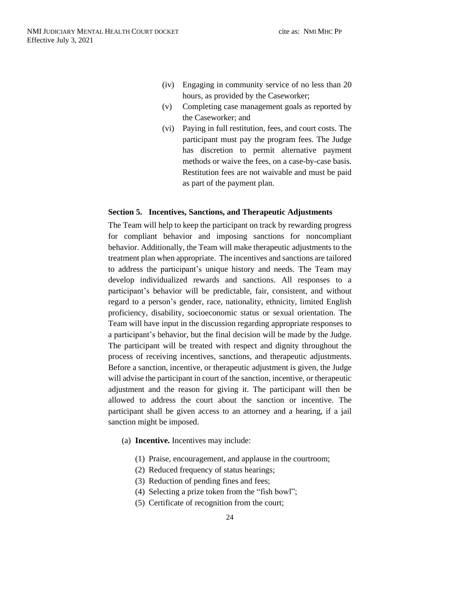- (iv) Engaging in community service of no less than 20 hours, as provided by the Caseworker;
- (v) Completing case management goals as reported by the Caseworker; and
- (vi) Paying in full restitution, fees, and court costs. The participant must pay the program fees. The Judge has discretion to permit alternative payment methods or waive the fees, on a case-by-case basis. Restitution fees are not waivable and must be paid as part of the payment plan.

#### <span id="page-25-0"></span>**Section 5. Incentives, Sanctions, and Therapeutic Adjustments**

The Team will help to keep the participant on track by rewarding progress for compliant behavior and imposing sanctions for noncompliant behavior. Additionally, the Team will make therapeutic adjustments to the treatment plan when appropriate. The incentives and sanctions are tailored to address the participant's unique history and needs. The Team may develop individualized rewards and sanctions. All responses to a participant's behavior will be predictable, fair, consistent, and without regard to a person's gender, race, nationality, ethnicity, limited English proficiency, disability, socioeconomic status or sexual orientation. The Team will have input in the discussion regarding appropriate responses to a participant's behavior, but the final decision will be made by the Judge. The participant will be treated with respect and dignity throughout the process of receiving incentives, sanctions, and therapeutic adjustments. Before a sanction, incentive, or therapeutic adjustment is given, the Judge will advise the participant in court of the sanction, incentive, or therapeutic adjustment and the reason for giving it. The participant will then be allowed to address the court about the sanction or incentive. The participant shall be given access to an attorney and a hearing, if a jail sanction might be imposed.

- <span id="page-25-1"></span>(a) **Incentive.** Incentives may include:
	- (1) Praise, encouragement, and applause in the courtroom;
	- (2) Reduced frequency of status hearings;
	- (3) Reduction of pending fines and fees;
	- (4) Selecting a prize token from the "fish bowl";
	- (5) Certificate of recognition from the court;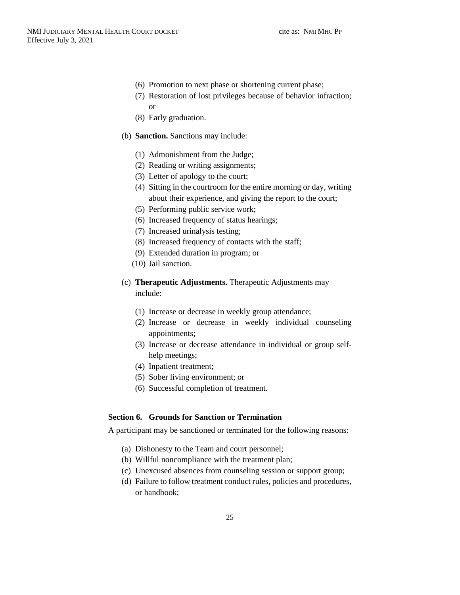- (6) Promotion to next phase or shortening current phase;
- (7) Restoration of lost privileges because of behavior infraction; or
- (8) Early graduation.
- <span id="page-26-0"></span>(b) **Sanction.** Sanctions may include:
	- (1) Admonishment from the Judge;
	- (2) Reading or writing assignments;
	- (3) Letter of apology to the court;
	- (4) Sitting in the courtroom for the entire morning or day, writing about their experience, and giving the report to the court;
	- (5) Performing public service work;
	- (6) Increased frequency of status hearings;
	- (7) Increased urinalysis testing;
	- (8) Increased frequency of contacts with the staff;
	- (9) Extended duration in program; or
	- (10) Jail sanction.
- <span id="page-26-1"></span>(c) **Therapeutic Adjustments.** Therapeutic Adjustments may include:
	- (1) Increase or decrease in weekly group attendance;
	- (2) Increase or decrease in weekly individual counseling appointments;
	- (3) Increase or decrease attendance in individual or group selfhelp meetings;
	- (4) Inpatient treatment;
	- (5) Sober living environment; or
	- (6) Successful completion of treatment.

### <span id="page-26-2"></span>**Section 6. Grounds for Sanction or Termination**

A participant may be sanctioned or terminated for the following reasons:

- (a) Dishonesty to the Team and court personnel;
- (b) Willful noncompliance with the treatment plan;
- (c) Unexcused absences from counseling session or support group;
- (d) Failure to follow treatment conduct rules, policies and procedures, or handbook;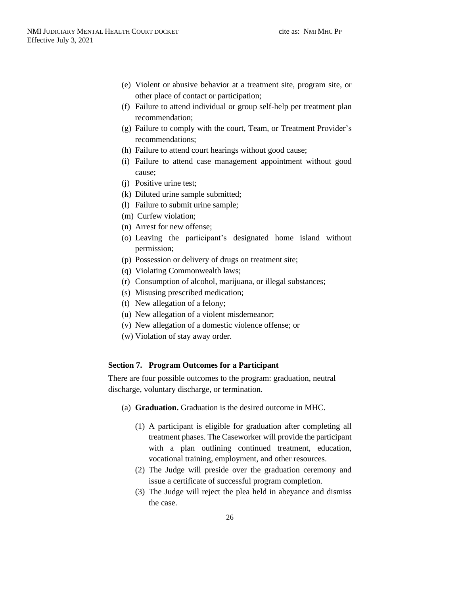- (e) Violent or abusive behavior at a treatment site, program site, or other place of contact or participation;
- (f) Failure to attend individual or group self-help per treatment plan recommendation;
- (g) Failure to comply with the court, Team, or Treatment Provider's recommendations;
- (h) Failure to attend court hearings without good cause;
- (i) Failure to attend case management appointment without good cause;
- (j) Positive urine test;
- (k) Diluted urine sample submitted;
- (l) Failure to submit urine sample;
- (m) Curfew violation;
- (n) Arrest for new offense;
- (o) Leaving the participant's designated home island without permission;
- (p) Possession or delivery of drugs on treatment site;
- (q) Violating Commonwealth laws;
- (r) Consumption of alcohol, marijuana, or illegal substances;
- (s) Misusing prescribed medication;
- (t) New allegation of a felony;
- (u) New allegation of a violent misdemeanor;
- (v) New allegation of a domestic violence offense; or
- (w) Violation of stay away order.

#### <span id="page-27-0"></span>**Section 7. Program Outcomes for a Participant**

There are four possible outcomes to the program: graduation, neutral discharge, voluntary discharge, or termination.

- <span id="page-27-1"></span>(a) **Graduation.** Graduation is the desired outcome in MHC.
	- (1) A participant is eligible for graduation after completing all treatment phases. The Caseworker will provide the participant with a plan outlining continued treatment, education, vocational training, employment, and other resources.
	- (2) The Judge will preside over the graduation ceremony and issue a certificate of successful program completion.
	- (3) The Judge will reject the plea held in abeyance and dismiss the case.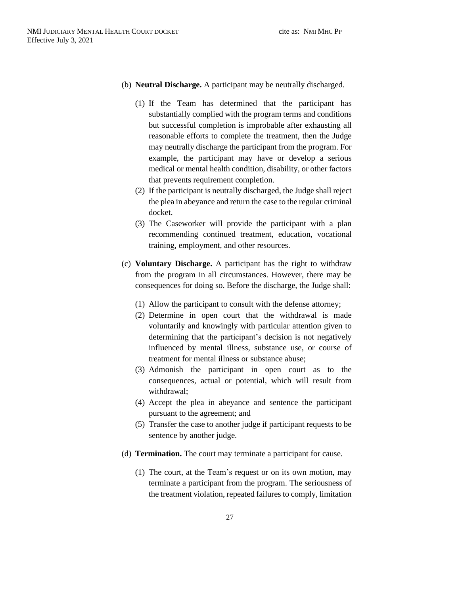- <span id="page-28-0"></span>(b) **Neutral Discharge.** A participant may be neutrally discharged.
	- (1) If the Team has determined that the participant has substantially complied with the program terms and conditions but successful completion is improbable after exhausting all reasonable efforts to complete the treatment, then the Judge may neutrally discharge the participant from the program. For example, the participant may have or develop a serious medical or mental health condition, disability, or other factors that prevents requirement completion.
	- (2) If the participant is neutrally discharged, the Judge shall reject the plea in abeyance and return the case to the regular criminal docket.
	- (3) The Caseworker will provide the participant with a plan recommending continued treatment, education, vocational training, employment, and other resources.
- <span id="page-28-1"></span>(c) **Voluntary Discharge.** A participant has the right to withdraw from the program in all circumstances. However, there may be consequences for doing so. Before the discharge, the Judge shall:
	- (1) Allow the participant to consult with the defense attorney;
	- (2) Determine in open court that the withdrawal is made voluntarily and knowingly with particular attention given to determining that the participant's decision is not negatively influenced by mental illness, substance use, or course of treatment for mental illness or substance abuse;
	- (3) Admonish the participant in open court as to the consequences, actual or potential, which will result from withdrawal;
	- (4) Accept the plea in abeyance and sentence the participant pursuant to the agreement; and
	- (5) Transfer the case to another judge if participant requests to be sentence by another judge.
- <span id="page-28-2"></span>(d) **Termination.** The court may terminate a participant for cause.
	- (1) The court, at the Team's request or on its own motion, may terminate a participant from the program. The seriousness of the treatment violation, repeated failures to comply, limitation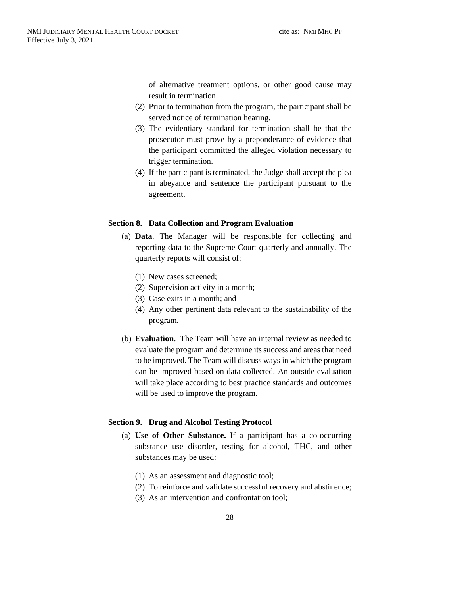of alternative treatment options, or other good cause may result in termination.

- (2) Prior to termination from the program, the participant shall be served notice of termination hearing.
- (3) The evidentiary standard for termination shall be that the prosecutor must prove by a preponderance of evidence that the participant committed the alleged violation necessary to trigger termination.
- (4) If the participant is terminated, the Judge shall accept the plea in abeyance and sentence the participant pursuant to the agreement.

#### <span id="page-29-1"></span><span id="page-29-0"></span>**Section 8. Data Collection and Program Evaluation**

- (a) **Data**. The Manager will be responsible for collecting and reporting data to the Supreme Court quarterly and annually. The quarterly reports will consist of:
	- (1) New cases screened;
	- (2) Supervision activity in a month;
	- (3) Case exits in a month; and
	- (4) Any other pertinent data relevant to the sustainability of the program.
- <span id="page-29-2"></span>(b) **Evaluation**. The Team will have an internal review as needed to evaluate the program and determine its success and areas that need to be improved. The Team will discuss ways in which the program can be improved based on data collected. An outside evaluation will take place according to best practice standards and outcomes will be used to improve the program.

#### <span id="page-29-4"></span><span id="page-29-3"></span>**Section 9. Drug and Alcohol Testing Protocol**

- (a) **Use of Other Substance.** If a participant has a co-occurring substance use disorder, testing for alcohol, THC, and other substances may be used:
	- (1) As an assessment and diagnostic tool;
	- (2) To reinforce and validate successful recovery and abstinence;
	- (3) As an intervention and confrontation tool;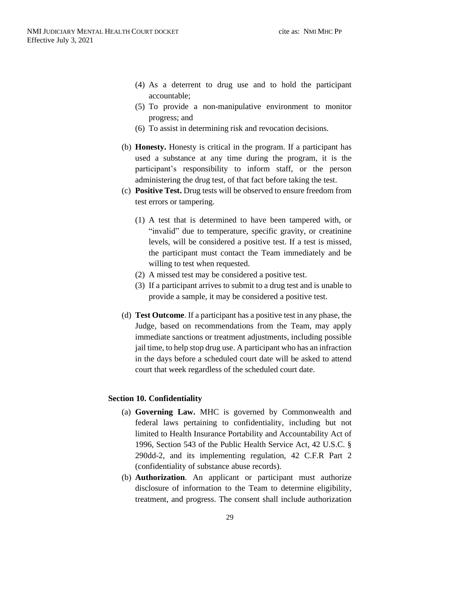- (4) As a deterrent to drug use and to hold the participant accountable;
- (5) To provide a non-manipulative environment to monitor progress; and
- (6) To assist in determining risk and revocation decisions.
- <span id="page-30-0"></span>(b) **Honesty.** Honesty is critical in the program. If a participant has used a substance at any time during the program, it is the participant's responsibility to inform staff, or the person administering the drug test, of that fact before taking the test.
- <span id="page-30-1"></span>(c) **Positive Test.** Drug tests will be observed to ensure freedom from test errors or tampering.
	- (1) A test that is determined to have been tampered with, or "invalid" due to temperature, specific gravity, or creatinine levels, will be considered a positive test. If a test is missed, the participant must contact the Team immediately and be willing to test when requested.
	- (2) A missed test may be considered a positive test.
	- (3) If a participant arrives to submit to a drug test and is unable to provide a sample, it may be considered a positive test.
- <span id="page-30-2"></span>(d) **Test Outcome**. If a participant has a positive test in any phase, the Judge, based on recommendations from the Team, may apply immediate sanctions or treatment adjustments, including possible jail time, to help stop drug use. A participant who has an infraction in the days before a scheduled court date will be asked to attend court that week regardless of the scheduled court date.

#### <span id="page-30-4"></span><span id="page-30-3"></span>**Section 10. Confidentiality**

- (a) **Governing Law.** MHC is governed by Commonwealth and federal laws pertaining to confidentiality, including but not limited to Health Insurance Portability and Accountability Act of 1996, Section 543 of the Public Health Service Act, 42 U.S.C. § 290dd-2, and its implementing regulation, 42 C.F.R Part 2 (confidentiality of substance abuse records).
- <span id="page-30-5"></span>(b) **Authorization**. An applicant or participant must authorize disclosure of information to the Team to determine eligibility, treatment, and progress. The consent shall include authorization